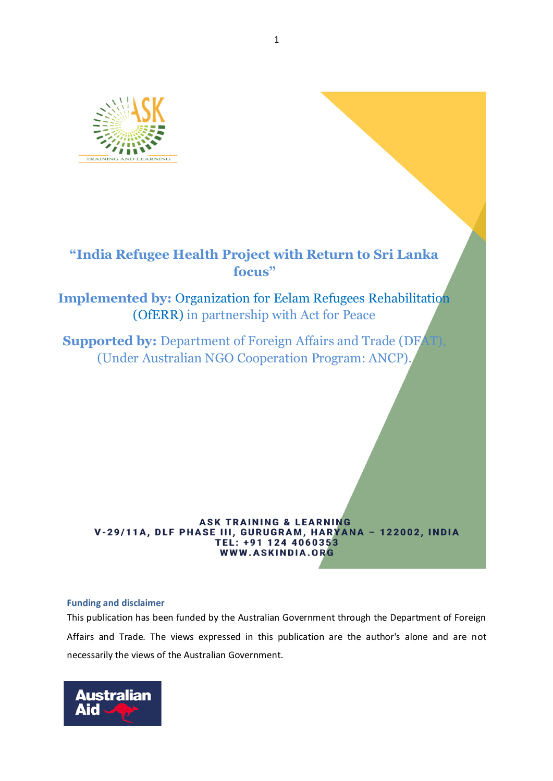

# **"India Refugee Health Project with Return to Sri Lanka focus"**

**Implemented by:** Organization for Eelam Refugees Rehabilitation (OfERR) in partnership with Act for Peace

**Supported by: Department of Foreign Affairs and Trade (DF)** (Under Australian NGO Cooperation Program: ANCP).

## **ASK TRAINING & LEARNING** V-29/11A, DLF PHASE III, GURUGRAM, HARYANA - 122002, INDIA TEL: +91 124 4060353 WWW.ASKINDIA.ORG

# **Funding and disclaimer**

This publication has been funded by the Australian Government through the Department of Foreign Affairs and Trade. The views expressed in this publication are the author's alone and are not necessarily the views of the Australian Government.

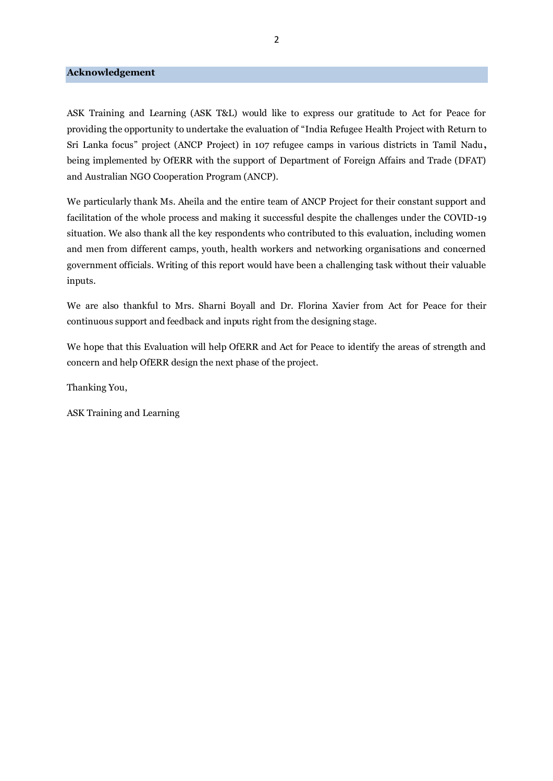#### **Acknowledgement**

ASK Training and Learning (ASK T&L) would like to express our gratitude to Act for Peace for providing the opportunity to undertake the evaluation of "India Refugee Health Project with Return to Sri Lanka focus" project (ANCP Project) in 107 refugee camps in various districts in Tamil Nadu**,** being implemented by OfERR with the support of Department of Foreign Affairs and Trade (DFAT) and Australian NGO Cooperation Program (ANCP).

We particularly thank Ms. Aheila and the entire team of ANCP Project for their constant support and facilitation of the whole process and making it successful despite the challenges under the COVID-19 situation. We also thank all the key respondents who contributed to this evaluation, including women and men from different camps, youth, health workers and networking organisations and concerned government officials. Writing of this report would have been a challenging task without their valuable inputs.

We are also thankful to Mrs. Sharni Boyall and Dr. Florina Xavier from Act for Peace for their continuous support and feedback and inputs right from the designing stage.

We hope that this Evaluation will help OfERR and Act for Peace to identify the areas of strength and concern and help OfERR design the next phase of the project.

Thanking You,

ASK Training and Learning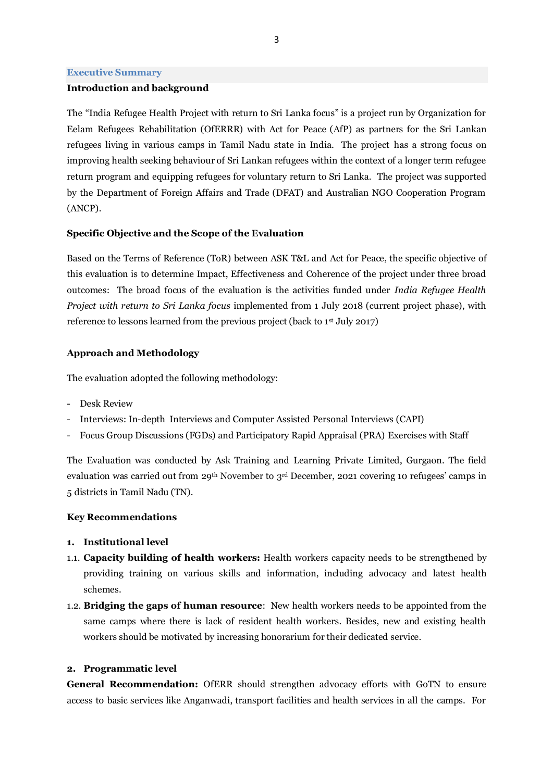#### **Executive Summary**

#### **Introduction and background**

The "India Refugee Health Project with return to Sri Lanka focus" is a project run by Organization for Eelam Refugees Rehabilitation (OfERRR) with Act for Peace (AfP) as partners for the Sri Lankan refugees living in various camps in Tamil Nadu state in India. The project has a strong focus on improving health seeking behaviour of Sri Lankan refugees within the context of a longer term refugee return program and equipping refugees for voluntary return to Sri Lanka. The project was supported by the Department of Foreign Affairs and Trade (DFAT) and Australian NGO Cooperation Program (ANCP).

#### **Specific Objective and the Scope of the Evaluation**

Based on the Terms of Reference (ToR) between ASK T&L and Act for Peace, the specific objective of this evaluation is to determine Impact, Effectiveness and Coherence of the project under three broad outcomes: The broad focus of the evaluation is the activities funded under *India Refugee Health Project with return to Sri Lanka focus* implemented from 1 July 2018 (current project phase), with reference to lessons learned from the previous project (back to  $1<sup>st</sup>$  July 2017)

#### **Approach and Methodology**

The evaluation adopted the following methodology:

- Desk Review
- Interviews: In-depth Interviews and Computer Assisted Personal Interviews (CAPI)
- Focus Group Discussions (FGDs) and Participatory Rapid Appraisal (PRA) Exercises with Staff

The Evaluation was conducted by Ask Training and Learning Private Limited, Gurgaon. The field evaluation was carried out from 29th November to 3rd December, 2021 covering 10 refugees' camps in 5 districts in Tamil Nadu (TN).

#### **Key Recommendations**

- **1. Institutional level**
- 1.1. **Capacity building of health workers:** Health workers capacity needs to be strengthened by providing training on various skills and information, including advocacy and latest health schemes.
- 1.2. **Bridging the gaps of human resource**: New health workers needs to be appointed from the same camps where there is lack of resident health workers. Besides, new and existing health workers should be motivated by increasing honorarium for their dedicated service.

#### **2. Programmatic level**

**General Recommendation:** OfERR should strengthen advocacy efforts with GoTN to ensure access to basic services like Anganwadi, transport facilities and health services in all the camps. For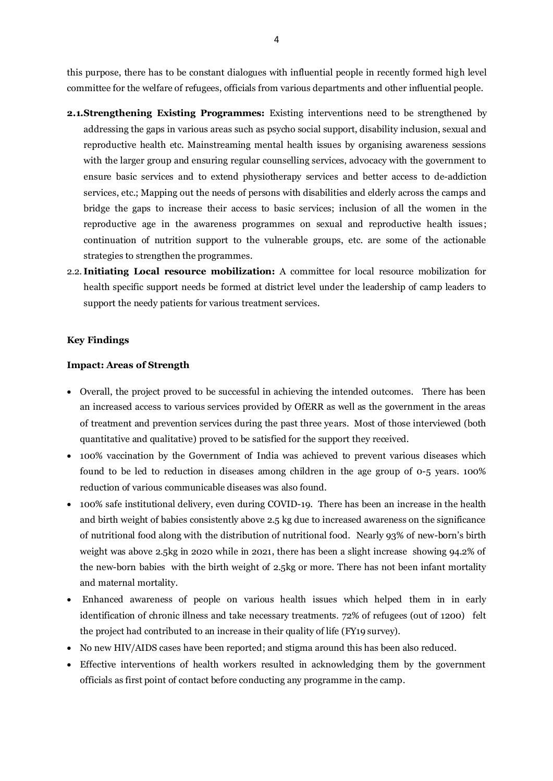this purpose, there has to be constant dialogues with influential people in recently formed high level committee for the welfare of refugees, officials from various departments and other influential people.

- **2.1.Strengthening Existing Programmes:** Existing interventions need to be strengthened by addressing the gaps in various areas such as psycho social support, disability inclusion, sexual and reproductive health etc. Mainstreaming mental health issues by organising awareness sessions with the larger group and ensuring regular counselling services, advocacy with the government to ensure basic services and to extend physiotherapy services and better access to de-addiction services, etc.; Mapping out the needs of persons with disabilities and elderly across the camps and bridge the gaps to increase their access to basic services; inclusion of all the women in the reproductive age in the awareness programmes on sexual and reproductive health issues; continuation of nutrition support to the vulnerable groups, etc. are some of the actionable strategies to strengthen the programmes.
- 2.2. **Initiating Local resource mobilization:** A committee for local resource mobilization for health specific support needs be formed at district level under the leadership of camp leaders to support the needy patients for various treatment services.

#### **Key Findings**

#### **Impact: Areas of Strength**

- Overall, the project proved to be successful in achieving the intended outcomes. There has been an increased access to various services provided by OfERR as well as the government in the areas of treatment and prevention services during the past three years. Most of those interviewed (both quantitative and qualitative) proved to be satisfied for the support they received.
- 100% vaccination by the Government of India was achieved to prevent various diseases which found to be led to reduction in diseases among children in the age group of 0-5 years. 100% reduction of various communicable diseases was also found.
- 100% safe institutional delivery, even during COVID-19. There has been an increase in the health and birth weight of babies consistently above 2.5 kg due to increased awareness on the significance of nutritional food along with the distribution of nutritional food. Nearly 93% of new-born's birth weight was above 2.5kg in 2020 while in 2021, there has been a slight increase showing 94.2% of the new-born babies with the birth weight of 2.5kg or more. There has not been infant mortality and maternal mortality.
- Enhanced awareness of people on various health issues which helped them in in early identification of chronic illness and take necessary treatments. 72% of refugees (out of 1200) felt the project had contributed to an increase in their quality of life (FY19 survey).
- No new HIV/AIDS cases have been reported; and stigma around this has been also reduced.
- Effective interventions of health workers resulted in acknowledging them by the government officials as first point of contact before conducting any programme in the camp.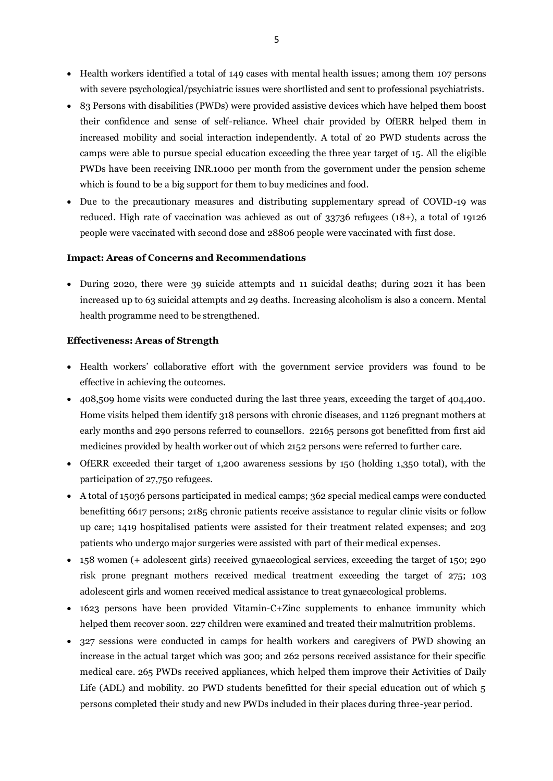- Health workers identified a total of 149 cases with mental health issues; among them 107 persons with severe psychological/psychiatric issues were shortlisted and sent to professional psychiatrists.
- 83 Persons with disabilities (PWDs) were provided assistive devices which have helped them boost their confidence and sense of self-reliance. Wheel chair provided by OfERR helped them in increased mobility and social interaction independently. A total of 20 PWD students across the camps were able to pursue special education exceeding the three year target of 15. All the eligible PWDs have been receiving INR.1000 per month from the government under the pension scheme which is found to be a big support for them to buy medicines and food.
- Due to the precautionary measures and distributing supplementary spread of COVID-19 was reduced. High rate of vaccination was achieved as out of 33736 refugees (18+), a total of 19126 people were vaccinated with second dose and 28806 people were vaccinated with first dose.

#### **Impact: Areas of Concerns and Recommendations**

• During 2020, there were 39 suicide attempts and 11 suicidal deaths; during 2021 it has been increased up to 63 suicidal attempts and 29 deaths. Increasing alcoholism is also a concern. Mental health programme need to be strengthened.

#### **Effectiveness: Areas of Strength**

- Health workers' collaborative effort with the government service providers was found to be effective in achieving the outcomes.
- 408,509 home visits were conducted during the last three years, exceeding the target of 404,400. Home visits helped them identify 318 persons with chronic diseases, and 1126 pregnant mothers at early months and 290 persons referred to counsellors. 22165 persons got benefitted from first aid medicines provided by health worker out of which 2152 persons were referred to further care.
- OfERR exceeded their target of 1,200 awareness sessions by 150 (holding 1,350 total), with the participation of 27,750 refugees.
- A total of 15036 persons participated in medical camps; 362 special medical camps were conducted benefitting 6617 persons; 2185 chronic patients receive assistance to regular clinic visits or follow up care; 1419 hospitalised patients were assisted for their treatment related expenses; and 203 patients who undergo major surgeries were assisted with part of their medical expenses.
- 158 women (+ adolescent girls) received gynaecological services, exceeding the target of 150; 290 risk prone pregnant mothers received medical treatment exceeding the target of 275; 103 adolescent girls and women received medical assistance to treat gynaecological problems.
- 1623 persons have been provided Vitamin-C+Zinc supplements to enhance immunity which helped them recover soon. 227 children were examined and treated their malnutrition problems.
- 327 sessions were conducted in camps for health workers and caregivers of PWD showing an increase in the actual target which was 300; and 262 persons received assistance for their specific medical care. 265 PWDs received appliances, which helped them improve their Activities of Daily Life (ADL) and mobility. 20 PWD students benefitted for their special education out of which 5 persons completed their study and new PWDs included in their places during three-year period.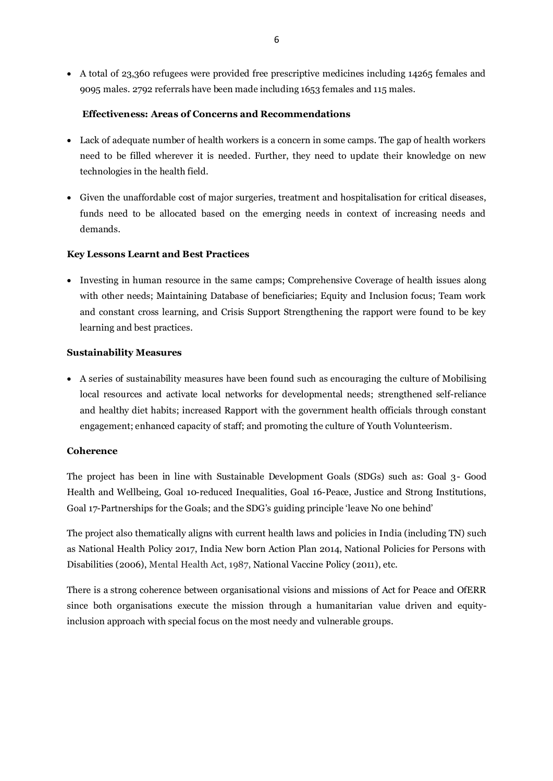• A total of 23,360 refugees were provided free prescriptive medicines including 14265 females and 9095 males. 2792 referrals have been made including 1653 females and 115 males.

# **Effectiveness: Areas of Concerns and Recommendations**

- Lack of adequate number of health workers is a concern in some camps. The gap of health workers need to be filled wherever it is needed. Further, they need to update their knowledge on new technologies in the health field.
- Given the unaffordable cost of major surgeries, treatment and hospitalisation for critical diseases, funds need to be allocated based on the emerging needs in context of increasing needs and demands.

## **Key Lessons Learnt and Best Practices**

• Investing in human resource in the same camps; Comprehensive Coverage of health issues along with other needs; Maintaining Database of beneficiaries; Equity and Inclusion focus; Team work and constant cross learning, and Crisis Support Strengthening the rapport were found to be key learning and best practices.

## **Sustainability Measures**

• A series of sustainability measures have been found such as encouraging the culture of Mobilising local resources and activate local networks for developmental needs; strengthened self-reliance and healthy diet habits; increased Rapport with the government health officials through constant engagement; enhanced capacity of staff; and promoting the culture of Youth Volunteerism.

# **Coherence**

The project has been in line with Sustainable Development Goals (SDGs) such as: Goal 3- Good Health and Wellbeing, Goal 10-reduced Inequalities, Goal 16-Peace, Justice and Strong Institutions, Goal 17-Partnerships for the Goals; and the SDG's guiding principle 'leave No one behind'

The project also thematically aligns with current health laws and policies in India (including TN) such as National Health Policy 2017, India New born Action Plan 2014, National Policies for Persons with Disabilities (2006), Mental Health Act, 1987, National Vaccine Policy (2011), etc.

There is a strong coherence between organisational visions and missions of Act for Peace and OfERR since both organisations execute the mission through a humanitarian value driven and equityinclusion approach with special focus on the most needy and vulnerable groups.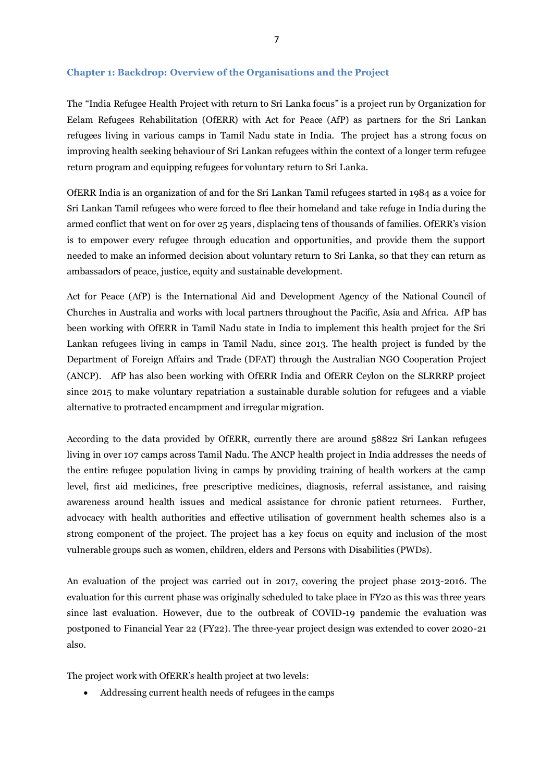# **Chapter 1: Backdrop: Overview of the Organisations and the Project**

The "India Refugee Health Project with return to Sri Lanka focus" is a project run by Organization for Eelam Refugees Rehabilitation (OfERR) with Act for Peace (AfP) as partners for the Sri Lankan refugees living in various camps in Tamil Nadu state in India. The project has a strong focus on improving health seeking behaviour of Sri Lankan refugees within the context of a longer term refugee return program and equipping refugees for voluntary return to Sri Lanka.

OfERR India is an organization of and for the Sri Lankan Tamil refugees started in 1984 as a voice for Sri Lankan Tamil refugees who were forced to flee their homeland and take refuge in India during the armed conflict that went on for over 25 years, displacing tens of thousands of families. OfERR's vision is to empower every refugee through education and opportunities, and provide them the support needed to make an informed decision about voluntary return to Sri Lanka, so that they can return as ambassadors of peace, justice, equity and sustainable development.

Act for Peace (AfP) is the International Aid and Development Agency of the National Council of Churches in Australia and works with local partners throughout the Pacific, Asia and Africa. AfP has been working with OfERR in Tamil Nadu state in India to implement this health project for the Sri Lankan refugees living in camps in Tamil Nadu, since 2013. The health project is funded by the Department of Foreign Affairs and Trade (DFAT) through the Australian NGO Cooperation Project (ANCP). AfP has also been working with OfERR India and OfERR Ceylon on the SLRRRP project since 2015 to make voluntary repatriation a sustainable durable solution for refugees and a viable alternative to protracted encampment and irregular migration.

According to the data provided by OfERR, currently there are around 58822 Sri Lankan refugees living in over 107 camps across Tamil Nadu. The ANCP health project in India addresses the needs of the entire refugee population living in camps by providing training of health workers at the camp level, first aid medicines, free prescriptive medicines, diagnosis, referral assistance, and raising awareness around health issues and medical assistance for chronic patient returnees. Further, advocacy with health authorities and effective utilisation of government health schemes also is a strong component of the project. The project has a key focus on equity and inclusion of the most vulnerable groups such as women, children, elders and Persons with Disabilities (PWDs).

An evaluation of the project was carried out in 2017, covering the project phase 2013-2016. The evaluation for this current phase was originally scheduled to take place in FY20 as this was three years since last evaluation. However, due to the outbreak of COVID-19 pandemic the evaluation was postponed to Financial Year 22 (FY22). The three-year project design was extended to cover 2020-21 also.

The project work with OfERR's health project at two levels:

• Addressing current health needs of refugees in the camps